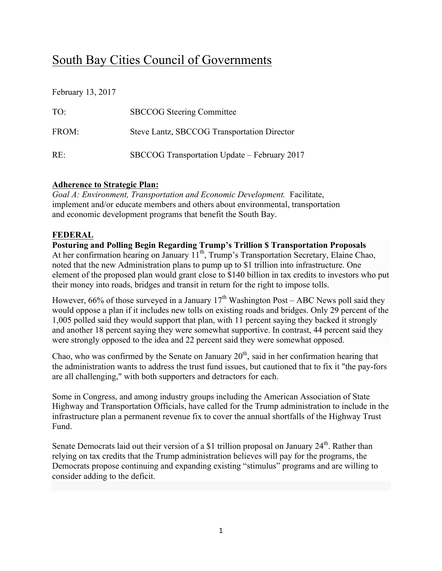# South Bay Cities Council of Governments

February 13, 2017

| TO <sup>1</sup> | <b>SBCCOG</b> Steering Committee             |
|-----------------|----------------------------------------------|
| FROM:           | Steve Lantz, SBCCOG Transportation Director  |
| $RE^+$          | SBCCOG Transportation Update – February 2017 |

#### **Adherence to Strategic Plan:**

*Goal A: Environment, Transportation and Economic Development.* Facilitate, implement and/or educate members and others about environmental, transportation and economic development programs that benefit the South Bay.

#### **FEDERAL**

**Posturing and Polling Begin Regarding Trump's Trillion \$ Transportation Proposals**  At her confirmation hearing on January 11<sup>th</sup>, Trump's Transportation Secretary, Elaine Chao, noted that the new Administration plans to pump up to \$1 trillion into infrastructure. One element of the proposed plan would grant close to \$140 billion in tax credits to investors who put their money into roads, bridges and transit in return for the right to impose tolls.

However, 66% of those surveyed in a January  $17<sup>th</sup>$  Washington Post – ABC News poll said they would oppose a plan if it includes new tolls on existing roads and bridges. Only 29 percent of the 1,005 polled said they would support that plan, with 11 percent saying they backed it strongly and another 18 percent saying they were somewhat supportive. In contrast, 44 percent said they were strongly opposed to the idea and 22 percent said they were somewhat opposed.

Chao, who was confirmed by the Senate on January  $20<sup>th</sup>$ , said in her confirmation hearing that the administration wants to address the trust fund issues, but cautioned that to fix it "the pay-fors are all challenging," with both supporters and detractors for each.

Some in Congress, and among industry groups including the American Association of State Highway and Transportation Officials, have called for the Trump administration to include in the infrastructure plan a permanent revenue fix to cover the annual shortfalls of the Highway Trust Fund.

Senate Democrats laid out their version of a \$1 trillion proposal on January  $24<sup>th</sup>$ . Rather than relying on tax credits that the Trump administration believes will pay for the programs, the Democrats propose continuing and expanding existing "stimulus" programs and are willing to consider adding to the deficit.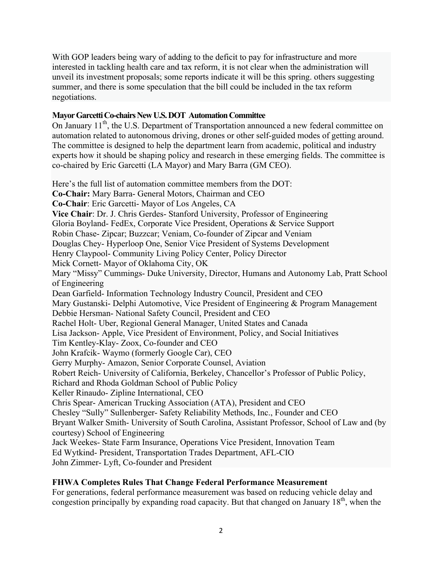With GOP leaders being wary of adding to the deficit to pay for infrastructure and more interested in tackling health care and tax reform, it is not clear when the administration will unveil its investment proposals; some reports indicate it will be this spring. others suggesting summer, and there is some speculation that the bill could be included in the tax reform negotiations.

#### **Mayor Garcetti Co-chairs New U.S. DOT Automation Committee**

On January 11<sup>th</sup>, the U.S. Department of Transportation announced a new federal committee on automation related to autonomous driving, drones or other self-guided modes of getting around. The committee is designed to help the department learn from academic, political and industry experts how it should be shaping policy and research in these emerging fields. The committee is co-chaired by Eric Garcetti (LA Mayor) and Mary Barra (GM CEO).

Here's the full list of automation committee members from the DOT: **Co-Chair:** Mary Barra- General Motors, Chairman and CEO **Co-Chair**: Eric Garcetti- Mayor of Los Angeles, CA **Vice Chair**: Dr. J. Chris Gerdes- Stanford University, Professor of Engineering Gloria Boyland- FedEx, Corporate Vice President, Operations & Service Support Robin Chase- Zipcar; Buzzcar; Veniam, Co-founder of Zipcar and Veniam Douglas Chey- Hyperloop One, Senior Vice President of Systems Development Henry Claypool- Community Living Policy Center, Policy Director Mick Cornett- Mayor of Oklahoma City, OK Mary "Missy" Cummings- Duke University, Director, Humans and Autonomy Lab, Pratt School of Engineering Dean Garfield- Information Technology Industry Council, President and CEO Mary Gustanski- Delphi Automotive, Vice President of Engineering & Program Management Debbie Hersman- National Safety Council, President and CEO Rachel Holt- Uber, Regional General Manager, United States and Canada Lisa Jackson- Apple, Vice President of Environment, Policy, and Social Initiatives Tim Kentley-Klay- Zoox, Co-founder and CEO John Krafcik- Waymo (formerly Google Car), CEO Gerry Murphy- Amazon, Senior Corporate Counsel, Aviation Robert Reich- University of California, Berkeley, Chancellor's Professor of Public Policy, Richard and Rhoda Goldman School of Public Policy Keller Rinaudo- Zipline International, CEO Chris Spear- American Trucking Association (ATA), President and CEO Chesley "Sully" Sullenberger- Safety Reliability Methods, Inc., Founder and CEO Bryant Walker Smith- University of South Carolina, Assistant Professor, School of Law and (by courtesy) School of Engineering Jack Weekes- State Farm Insurance, Operations Vice President, Innovation Team Ed Wytkind- President, Transportation Trades Department, AFL-CIO John Zimmer- Lyft, Co-founder and President

## **FHWA Completes Rules That Change Federal Performance Measurement**

For generations, federal performance measurement was based on reducing vehicle delay and congestion principally by expanding road capacity. But that changed on January  $18<sup>th</sup>$ , when the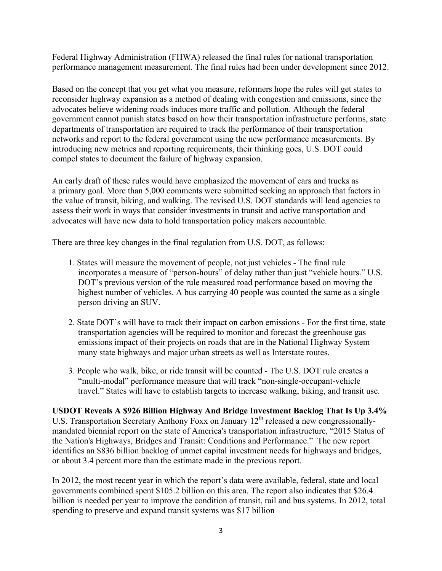Federal Highway Administration (FHWA) released the final rules for national transportation performance management measurement. The final rules had been under development since 2012.

Based on the concept that you get what you measure, reformers hope the rules will get states to reconsider highway expansion as a method of dealing with congestion and emissions, since the advocates believe widening roads induces more traffic and pollution. Although the federal government cannot punish states based on how their transportation infrastructure performs, state departments of transportation are required to track the performance of their transportation networks and report to the federal government using the new performance measurements. By introducing new metrics and reporting requirements, their thinking goes, U.S. DOT could compel states to document the failure of highway expansion.

An early draft of these rules would have emphasized the movement of cars and trucks as a primary goal. More than 5,000 comments were submitted seeking an approach that factors in the value of transit, biking, and walking. The revised U.S. DOT standards will lead agencies to assess their work in ways that consider investments in transit and active transportation and advocates will have new data to hold transportation policy makers accountable.

There are three key changes in the final regulation from U.S. DOT, as follows:

- 1. States will measure the movement of people, not just vehicles The final rule incorporates a measure of "person-hours" of delay rather than just "vehicle hours." U.S. DOT's previous version of the rule measured road performance based on moving the highest number of vehicles. A bus carrying 40 people was counted the same as a single person driving an SUV.
- 2. State DOT's will have to track their impact on carbon emissions For the first time, state transportation agencies will be required to monitor and forecast the greenhouse gas emissions impact of their projects on roads that are in the National Highway System many state highways and major urban streets as well as Interstate routes.
- 3. People who walk, bike, or ride transit will be counted The U.S. DOT rule creates a "multi-modal" performance measure that will track "non-single-occupant-vehicle travel." States will have to establish targets to increase walking, biking, and transit use.

## **USDOT Reveals A \$926 Billion Highway And Bridge Investment Backlog That Is Up 3.4%** U.S. Transportation Secretary Anthony Foxx on January 12<sup>th</sup> released a new congressionallymandated biennial report on the state of America's transportation infrastructure, "2015 Status of the Nation's Highways, Bridges and Transit: Conditions and Performance." The new report identifies an \$836 billion backlog of unmet capital investment needs for highways and bridges, or about 3.4 percent more than the estimate made in the previous report.

In 2012, the most recent year in which the report's data were available, federal, state and local governments combined spent \$105.2 billion on this area. The report also indicates that \$26.4 billion is needed per year to improve the condition of transit, rail and bus systems. In 2012, total spending to preserve and expand transit systems was \$17 billion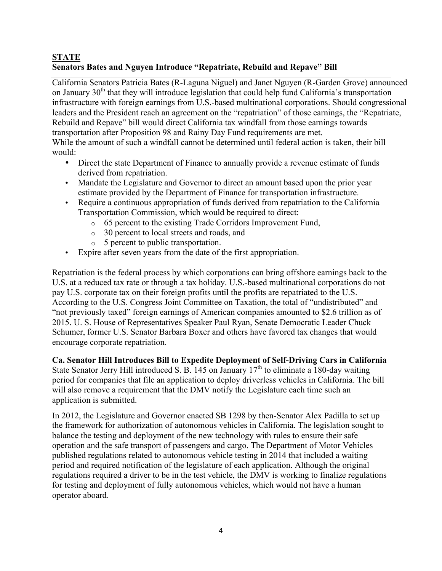## **STATE Senators Bates and Nguyen Introduce "Repatriate, Rebuild and Repave" Bill**

California Senators Patricia Bates (R-Laguna Niguel) and Janet Nguyen (R-Garden Grove) announced on January  $30<sup>th</sup>$  that they will introduce legislation that could help fund California's transportation infrastructure with foreign earnings from U.S.-based multinational corporations. Should congressional leaders and the President reach an agreement on the "repatriation" of those earnings, the "Repatriate, Rebuild and Repave" bill would direct California tax windfall from those earnings towards transportation after Proposition 98 and Rainy Day Fund requirements are met.

While the amount of such a windfall cannot be determined until federal action is taken, their bill would:

- Direct the state Department of Finance to annually provide a revenue estimate of funds derived from repatriation.
- Mandate the Legislature and Governor to direct an amount based upon the prior year estimate provided by the Department of Finance for transportation infrastructure.
- Require a continuous appropriation of funds derived from repatriation to the California Transportation Commission, which would be required to direct:
	- o 65 percent to the existing Trade Corridors Improvement Fund,
	- o 30 percent to local streets and roads, and
	- o 5 percent to public transportation.
- Expire after seven years from the date of the first appropriation.

Repatriation is the federal process by which corporations can bring offshore earnings back to the U.S. at a reduced tax rate or through a tax holiday. U.S.-based multinational corporations do not pay U.S. corporate tax on their foreign profits until the profits are repatriated to the U.S. According to the U.S. Congress Joint Committee on Taxation, the total of "undistributed" and "not previously taxed" foreign earnings of American companies amounted to \$2.6 trillion as of 2015. U. S. House of Representatives Speaker Paul Ryan, Senate Democratic Leader Chuck Schumer, former U.S. Senator Barbara Boxer and others have favored tax changes that would encourage corporate repatriation.

**Ca. Senator Hill Introduces Bill to Expedite Deployment of Self-Driving Cars in California**

State Senator Jerry Hill introduced S. B. 145 on January  $17<sup>th</sup>$  to eliminate a 180-day waiting period for companies that file an application to deploy driverless vehicles in California. The bill will also remove a requirement that the DMV notify the Legislature each time such an application is submitted.

In 2012, the Legislature and Governor enacted SB 1298 by then-Senator Alex Padilla to set up the framework for authorization of autonomous vehicles in California. The legislation sought to balance the testing and deployment of the new technology with rules to ensure their safe operation and the safe transport of passengers and cargo. The Department of Motor Vehicles published regulations related to autonomous vehicle testing in 2014 that included a waiting period and required notification of the legislature of each application. Although the original regulations required a driver to be in the test vehicle, the DMV is working to finalize regulations for testing and deployment of fully autonomous vehicles, which would not have a human operator aboard.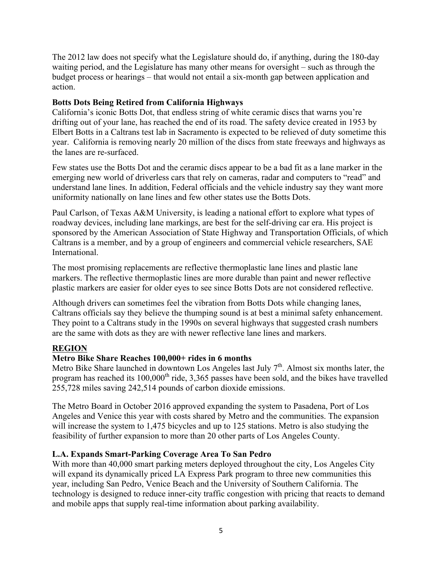The 2012 law does not specify what the Legislature should do, if anything, during the 180-day waiting period, and the Legislature has many other means for oversight – such as through the budget process or hearings – that would not entail a six-month gap between application and action.

#### **Botts Dots Being Retired from California Highways**

California's iconic Botts Dot, that endless string of white ceramic discs that warns you're drifting out of your lane, has reached the end of its road. The safety device created in 1953 by Elbert Botts in a Caltrans test lab in Sacramento is expected to be relieved of duty sometime this year. California is removing nearly 20 million of the discs from state freeways and highways as the lanes are re-surfaced.

Few states use the Botts Dot and the ceramic discs appear to be a bad fit as a lane marker in the emerging new world of driverless cars that rely on cameras, radar and computers to "read" and understand lane lines. In addition, Federal officials and the vehicle industry say they want more uniformity nationally on lane lines and few other states use the Botts Dots.

Paul Carlson, of Texas A&M University, is leading a national effort to explore what types of roadway devices, including lane markings, are best for the self-driving car era. His project is sponsored by the American Association of State Highway and Transportation Officials, of which Caltrans is a member, and by a group of engineers and commercial vehicle researchers, SAE International.

The most promising replacements are reflective thermoplastic lane lines and plastic lane markers. The reflective thermoplastic lines are more durable than paint and newer reflective plastic markers are easier for older eyes to see since Botts Dots are not considered reflective.

Although drivers can sometimes feel the vibration from Botts Dots while changing lanes, Caltrans officials say they believe the thumping sound is at best a minimal safety enhancement. They point to a Caltrans study in the 1990s on several highways that suggested crash numbers are the same with dots as they are with newer reflective lane lines and markers.

## **REGION**

## **Metro Bike Share Reaches 100,000+ rides in 6 months**

Metro Bike Share launched in downtown Los Angeles last July  $7<sup>th</sup>$ . Almost six months later, the program has reached its  $100,000<sup>th</sup>$  ride, 3,365 passes have been sold, and the bikes have travelled 255,728 miles saving 242,514 pounds of carbon dioxide emissions.

The Metro Board in October 2016 approved expanding the system to Pasadena, Port of Los Angeles and Venice this year with costs shared by Metro and the communities. The expansion will increase the system to 1,475 bicycles and up to 125 stations. Metro is also studying the feasibility of further expansion to more than 20 other parts of Los Angeles County.

#### **L.A. Expands Smart-Parking Coverage Area To San Pedro**

With more than 40,000 smart parking meters deployed throughout the city, Los Angeles City will expand its dynamically priced LA Express Park program to three new communities this year, including San Pedro, Venice Beach and the University of Southern California. The technology is designed to reduce inner-city traffic congestion with pricing that reacts to demand and mobile apps that supply real-time information about parking availability.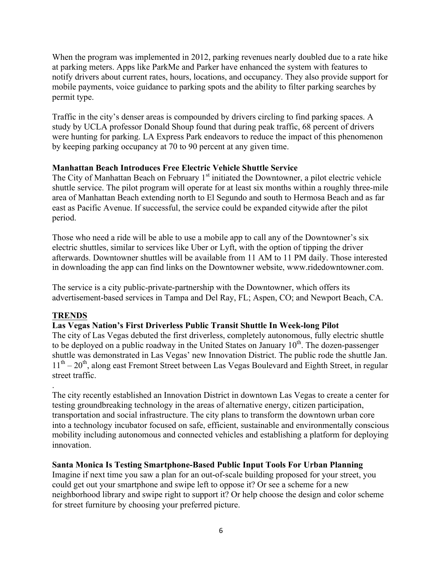When the program was implemented in 2012, parking revenues nearly doubled due to a rate hike at parking meters. Apps like ParkMe and Parker have enhanced the system with features to notify drivers about current rates, hours, locations, and occupancy. They also provide support for mobile payments, voice guidance to parking spots and the ability to filter parking searches by permit type.

Traffic in the city's denser areas is compounded by drivers circling to find parking spaces. A study by UCLA professor Donald Shoup found that during peak traffic, 68 percent of drivers were hunting for parking. LA Express Park endeavors to reduce the impact of this phenomenon by keeping parking occupancy at 70 to 90 percent at any given time.

#### **Manhattan Beach Introduces Free Electric Vehicle Shuttle Service**

The City of Manhattan Beach on February  $1<sup>st</sup>$  initiated the Downtowner, a pilot electric vehicle shuttle service. The pilot program will operate for at least six months within a roughly three-mile area of Manhattan Beach extending north to El Segundo and south to Hermosa Beach and as far east as Pacific Avenue. If successful, the service could be expanded citywide after the pilot period.

Those who need a ride will be able to use a mobile app to call any of the Downtowner's six electric shuttles, similar to services like Uber or Lyft, with the option of tipping the driver afterwards. Downtowner shuttles will be available from 11 AM to 11 PM daily. Those interested in downloading the app can find links on the Downtowner website, www.ridedowntowner.com.

The service is a city public-private-partnership with the Downtowner, which offers its advertisement-based services in Tampa and Del Ray, FL; Aspen, CO; and Newport Beach, CA.

#### **TRENDS**

.

#### **Las Vegas Nation's First Driverless Public Transit Shuttle In Week-long Pilot**

The city of Las Vegas debuted the first driverless, completely autonomous, fully electric shuttle to be deployed on a public roadway in the United States on January  $10<sup>th</sup>$ . The dozen-passenger shuttle was demonstrated in Las Vegas' new Innovation District. The public rode the shuttle Jan.  $11<sup>th</sup> - 20<sup>th</sup>$ , along east Fremont Street between Las Vegas Boulevard and Eighth Street, in regular street traffic.

The city recently established an Innovation District in downtown Las Vegas to create a center for testing groundbreaking technology in the areas of alternative energy, citizen participation, transportation and social infrastructure. The city plans to transform the downtown urban core into a technology incubator focused on safe, efficient, sustainable and environmentally conscious mobility including autonomous and connected vehicles and establishing a platform for deploying innovation.

#### **Santa Monica Is Testing Smartphone-Based Public Input Tools For Urban Planning**

Imagine if next time you saw a plan for an out-of-scale building proposed for your street, you could get out your smartphone and swipe left to oppose it? Or see a scheme for a new neighborhood library and swipe right to support it? Or help choose the design and color scheme for street furniture by choosing your preferred picture.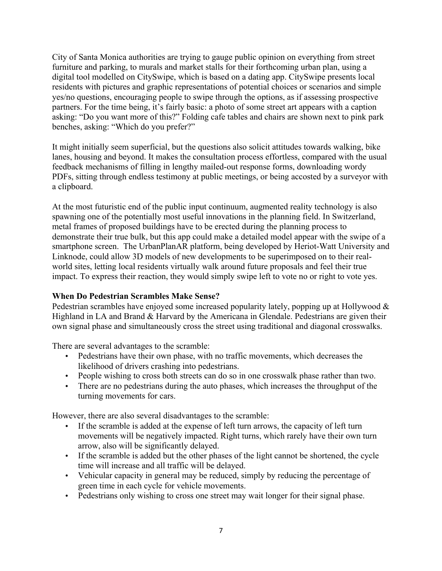City of Santa Monica authorities are trying to gauge public opinion on everything from street furniture and parking, to murals and market stalls for their forthcoming urban plan, using a digital tool modelled on CitySwipe, which is based on a dating app. CitySwipe presents local residents with pictures and graphic representations of potential choices or scenarios and simple yes/no questions, encouraging people to swipe through the options, as if assessing prospective partners. For the time being, it's fairly basic: a photo of some street art appears with a caption asking: "Do you want more of this?" Folding cafe tables and chairs are shown next to pink park benches, asking: "Which do you prefer?"

It might initially seem superficial, but the questions also solicit attitudes towards walking, bike lanes, housing and beyond. It makes the consultation process effortless, compared with the usual feedback mechanisms of filling in lengthy mailed-out response forms, downloading wordy PDFs, sitting through endless testimony at public meetings, or being accosted by a surveyor with a clipboard.

At the most futuristic end of the public input continuum, augmented reality technology is also spawning one of the potentially most useful innovations in the planning field. In Switzerland, metal frames of proposed buildings have to be erected during the planning process to demonstrate their true bulk, but this app could make a detailed model appear with the swipe of a smartphone screen. The UrbanPlanAR platform, being developed by Heriot-Watt University and Linknode, could allow 3D models of new developments to be superimposed on to their realworld sites, letting local residents virtually walk around future proposals and feel their true impact. To express their reaction, they would simply swipe left to vote no or right to vote yes.

## **When Do Pedestrian Scrambles Make Sense?**

Pedestrian scrambles have enjoyed some increased popularity lately, popping up at Hollywood & Highland in LA and Brand & Harvard by the Americana in Glendale. Pedestrians are given their own signal phase and simultaneously cross the street using traditional and diagonal crosswalks.

There are several advantages to the scramble:

- Pedestrians have their own phase, with no traffic movements, which decreases the likelihood of drivers crashing into pedestrians.
- People wishing to cross both streets can do so in one crosswalk phase rather than two.
- There are no pedestrians during the auto phases, which increases the throughput of the turning movements for cars.

However, there are also several disadvantages to the scramble:

- If the scramble is added at the expense of left turn arrows, the capacity of left turn movements will be negatively impacted. Right turns, which rarely have their own turn arrow, also will be significantly delayed.
- If the scramble is added but the other phases of the light cannot be shortened, the cycle time will increase and all traffic will be delayed.
- Vehicular capacity in general may be reduced, simply by reducing the percentage of green time in each cycle for vehicle movements.
- Pedestrians only wishing to cross one street may wait longer for their signal phase.